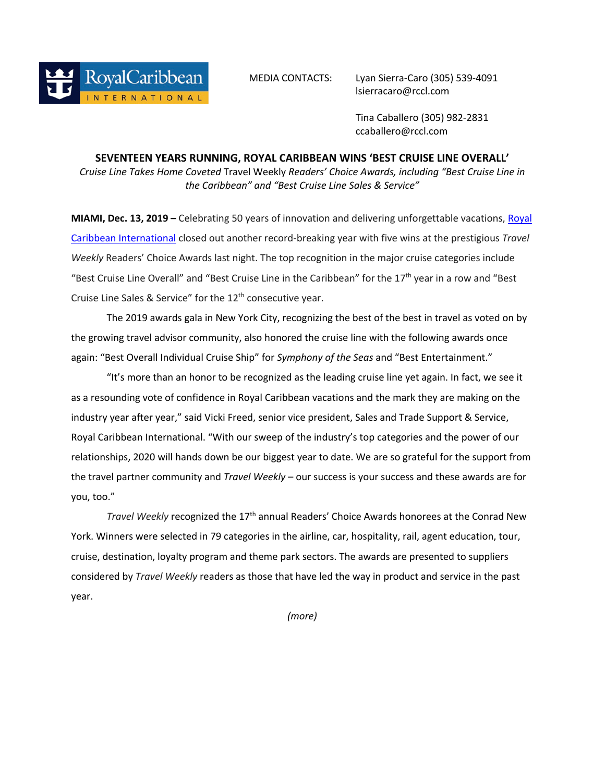MEDIA CONTACTS: Lyan Sierra-Caro (305) 539-4091 lsierracaro@rccl.com

> Tina Caballero (305) 982-2831 ccaballero@rccl.com

## **SEVENTEEN YEARS RUNNING, ROYAL CARIBBEAN WINS 'BEST CRUISE LINE OVERALL'**

*Cruise Line Takes Home Coveted* Travel Weekly *Readers' Choice Awards, including "Best Cruise Line in the Caribbean" and "Best Cruise Line Sales & Service"* 

**MIAMI, Dec. 13, 2019 –** [Celebrating 50 years of innovation and delivering unforgettable vacations, Royal](http://www.royalcaribbean.com/?ecid=pr_int_pblc_r_wb_3338)  Caribbean International closed out another record-breaking year with five wins at the prestigious *Travel Weekly* Readers' Choice Awards last night. The top recognition in the major cruise categories include "Best Cruise Line Overall" and "Best Cruise Line in the Caribbean" for the  $17<sup>th</sup>$  year in a row and "Best Cruise Line Sales & Service" for the 12<sup>th</sup> consecutive year.

The 2019 awards gala in New York City, recognizing the best of the best in travel as voted on by the growing travel advisor community, also honored the cruise line with the following awards once again: "Best Overall Individual Cruise Ship" for *Symphony of the Seas* and "Best Entertainment."

"It's more than an honor to be recognized as the leading cruise line yet again. In fact, we see it as a resounding vote of confidence in Royal Caribbean vacations and the mark they are making on the industry year after year," said Vicki Freed, senior vice president, Sales and Trade Support & Service, Royal Caribbean International. "With our sweep of the industry's top categories and the power of our relationships, 2020 will hands down be our biggest year to date. We are so grateful for the support from the travel partner community and *Travel Weekly* – our success is your success and these awards are for you, too."

*Travel Weekly* recognized the 17<sup>th</sup> annual Readers' Choice Awards honorees at the Conrad New York. Winners were selected in 79 categories in the airline, car, hospitality, rail, agent education, tour, cruise, destination, loyalty program and theme park sectors. The awards are presented to suppliers considered by *Travel Weekly* readers as those that have led the way in product and service in the past year.

*(more)*